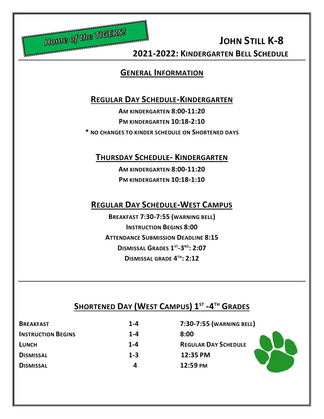

 **2021-2022: KINDERGARTEN BELL SCHEDULE**

#### **GENERAL INFORMATION**

#### **REGULAR DAY SCHEDULE-KINDERGARTEN**

**AM KINDERGARTEN 8:00-11:20 PM KINDERGARTEN 10:18-2:10**

**\* NO CHANGES TO KINDER SCHEDULE ON SHORTENED DAYS**

**THURSDAY SCHEDULE- KINDERGARTEN**

**AM KINDERGARTEN 8:00-11:20 PM KINDERGARTEN 10:18-1:10**

#### **REGULAR DAY SCHEDULE-WEST CAMPUS**

**BREAKFAST 7:30-7:55 (WARNING BELL) INSTRUCTION BEGINS 8:00 ATTENDANCE SUBMISSION DEADLINE 8:15 DISMISSAL GRADES 1 ST -3 RD: 2:07 DISMISSAL GRADE 4 TH: 2:12**

## **SHORTENED DAY (WEST CAMPUS) 1 ST -4 TH GRADES**

| <b>BREAKFAST</b>          | $1 - 4$ | 7:30-7:55 (WARNING BELL)    |
|---------------------------|---------|-----------------------------|
| <b>INSTRUCTION BEGINS</b> | $1 - 4$ | 8:00                        |
| <b>LUNCH</b>              | $1 - 4$ | <b>REGULAR DAY SCHEDULE</b> |
| <b>DISMISSAL</b>          | $1 - 3$ | 12:35 PM                    |
| <b>DISMISSAL</b>          | Д       | 12:59 PM                    |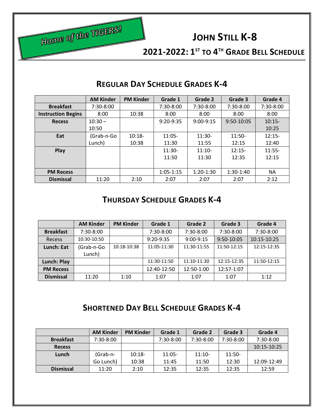

**2021-2022: 1 ST TO 4 TH GRADE BELL SCHEDULE**

|                           | <b>AM Kinder</b> | <b>PM Kinder</b> | Grade 1       | Grade 2     | Grade 3     | Grade 4   |
|---------------------------|------------------|------------------|---------------|-------------|-------------|-----------|
| <b>Breakfast</b>          | $7:30-8:00$      |                  | $7:30-8:00$   | 7:30-8:00   | 7:30-8:00   | 7:30-8:00 |
| <b>Instruction Begins</b> | 8:00             | 10:38            | 8:00          | 8:00        | 8:00        | 8:00      |
| <b>Recess</b>             | $10:30 -$        |                  | $9:20-9:35$   | $9:00-9:15$ | 9:50-10:05  | $10:15-$  |
|                           | 10:50            |                  |               |             |             | 10:25     |
| Eat                       | (Grab-n-Go       | $10:18-$         | $11:05 -$     | $11:30-$    | $11:50-$    | $12:15-$  |
|                           | Lunch)           | 10:38            | 11:30         | 11:55       | 12:15       | 12:40     |
| Play                      |                  |                  | $11:30-$      | $11:10-$    | $12:15-$    | $11:55-$  |
|                           |                  |                  | 11:50         | 11:30       | 12:35       | 12:15     |
|                           |                  |                  |               |             |             |           |
| <b>PM Recess</b>          |                  |                  | $1:05 - 1:15$ | $1:20-1:30$ | $1:30-1:40$ | NA.       |
| <b>Dismissal</b>          | 11:20            | 2:10             | 2:07          | 2:07        | 2:07        | 2:12      |

### **REGULAR DAY SCHEDULE GRADES K-4**

#### **THURSDAY SCHEDULE GRADES K-4**

|                  | <b>AM Kinder</b> | <b>PM Kinder</b> | Grade 1     | Grade 2     | Grade 3     | Grade 4     |
|------------------|------------------|------------------|-------------|-------------|-------------|-------------|
| <b>Breakfast</b> | $7:30-8:00$      |                  | 7:30-8:00   | 7:30-8:00   | 7:30-8:00   | 7:30-8:00   |
| Recess           | 10:30-10:50      |                  | $9:20-9:35$ | $9:00-9:15$ | 9:50-10:05  | 10:15-10:25 |
| Lunch: Eat       | (Grab-n-Go       | 10:18-10:38      | 11:05-11:30 | 11:30-11:55 | 11:50-12:15 | 12:15-12:35 |
|                  | Lunch)           |                  |             |             |             |             |
| Lunch: Play      |                  |                  | 11:30-11:50 | 11:10-11:30 | 12:15-12:35 | 11:50-12:15 |
| <b>PM Recess</b> |                  |                  | 12:40-12:50 | 12:50-1:00  | 12:57-1:07  |             |
| <b>Dismissal</b> | 11:20            | 1:10             | 1:07        | 1:07        | 1:07        | 1:12        |

### **SHORTENED DAY BELL SCHEDULE GRADES K-4**

|                  | <b>AM Kinder</b> | <b>PM Kinder</b> | Grade 1   | Grade 2     | Grade 3     | Grade 4     |
|------------------|------------------|------------------|-----------|-------------|-------------|-------------|
| <b>Breakfast</b> | $7:30-8:00$      |                  | 7:30-8:00 | $7:30-8:00$ | $7:30-8:00$ | 7:30-8:00   |
| <b>Recess</b>    |                  |                  |           |             |             | 10:15-10:25 |
| Lunch            | (Grab-n-         | $10:18-$         | $11:05-$  | $11:10-$    | $11:50-$    |             |
|                  | Go Lunch)        | 10:38            | 11:45     | 11:50       | 12:30       | 12:09-12:49 |
| <b>Dismissal</b> | 11:20            | 2:10             | 12:35     | 12:35       | 12:35       | 12:59       |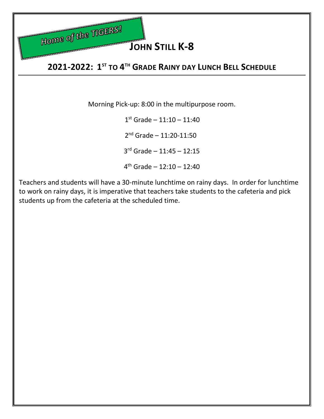

# **JOHN STILL K-8**

## **2021-2022: 1 ST TO 4 TH GRADE RAINY DAY LUNCH BELL SCHEDULE**

Morning Pick-up: 8:00 in the multipurpose room.

 $\sim$  1  $1<sup>st</sup>$  Grade –  $11:10 - 11:40$  2  $2<sup>nd</sup>$  Grade – 11:20-11:50 3 rd Grade – 11:45 – 12:15 4 th Grade – 12:10 – 12:40

Teachers and students will have a 30-minute lunchtime on rainy days. In order for lunchtime to work on rainy days, it is imperative that teachers take students to the cafeteria and pick students up from the cafeteria at the scheduled time.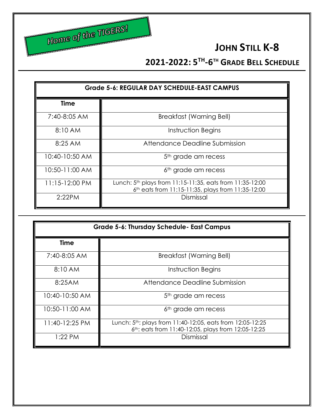

## **2021-2022: 5 TH -6 TH GRADE BELL SCHEDULE**

| <b>Grade 5-6: REGULAR DAY SCHEDULE-EAST CAMPUS</b> |                                                                                                                           |  |  |
|----------------------------------------------------|---------------------------------------------------------------------------------------------------------------------------|--|--|
| <b>Time</b>                                        |                                                                                                                           |  |  |
| 7:40-8:05 AM                                       | Breakfast (Warning Bell)                                                                                                  |  |  |
| 8:10 AM                                            | Instruction Begins                                                                                                        |  |  |
| 8:25AM                                             | Attendance Deadline Submission                                                                                            |  |  |
| 10:40-10:50 AM                                     | 5 <sup>th</sup> grade am recess                                                                                           |  |  |
| 10:50-11:00 AM                                     | 6 <sup>th</sup> grade am recess                                                                                           |  |  |
| 11:15-12:00 PM                                     | Lunch: 5 <sup>th</sup> plays from 11:15-11:35, eats from 11:35-12:00<br>6th eats from 11:15-11:35, plays from 11:35-12:00 |  |  |
| 2:22PM                                             | Dismissal                                                                                                                 |  |  |

| <b>Grade 5-6: Thursday Schedule- East Campus</b> |                                                                                                                              |  |  |
|--------------------------------------------------|------------------------------------------------------------------------------------------------------------------------------|--|--|
| <b>Time</b>                                      |                                                                                                                              |  |  |
| 7:40-8:05 AM                                     | <b>Breakfast (Warning Bell)</b>                                                                                              |  |  |
| 8:10AM                                           | Instruction Begins                                                                                                           |  |  |
| 8:25AM                                           | Attendance Deadline Submission                                                                                               |  |  |
| 10:40-10:50 AM                                   | 5 <sup>th</sup> grade am recess                                                                                              |  |  |
| 10:50-11:00 AM                                   | 6 <sup>th</sup> grade am recess                                                                                              |  |  |
| 11:40-12:25 PM                                   | Lunch: 5 <sup>th</sup> : plays from 11:40-12:05, eats from 12:05-12:25<br>6th: eats from 11:40-12:05, plays from 12:05-12:25 |  |  |
| $1:22$ PM                                        | Dismissal                                                                                                                    |  |  |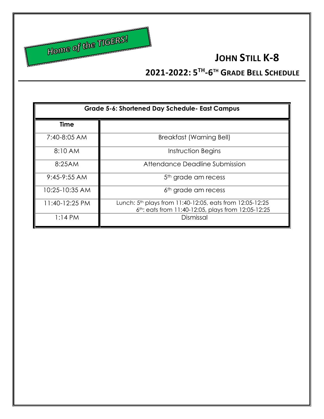

## **2021-2022: 5 TH -6 TH GRADE BELL SCHEDULE**

| <b>Grade 5-6: Shortened Day Schedule- East Campus</b> |                                                                                                                            |  |  |
|-------------------------------------------------------|----------------------------------------------------------------------------------------------------------------------------|--|--|
| <b>Time</b>                                           |                                                                                                                            |  |  |
| 7:40-8:05 AM                                          | Breakfast (Warning Bell)                                                                                                   |  |  |
| 8:10 AM                                               | Instruction Begins                                                                                                         |  |  |
| 8:25AM                                                | Attendance Deadline Submission                                                                                             |  |  |
| $9:45-9:55$ AM                                        | 5 <sup>th</sup> grade am recess                                                                                            |  |  |
| 10:25-10:35 AM                                        | 6 <sup>th</sup> grade am recess                                                                                            |  |  |
| 11:40-12:25 PM                                        | Lunch: 5 <sup>th</sup> plays from 11:40-12:05, eats from 12:05-12:25<br>6th: eats from 11:40-12:05, plays from 12:05-12:25 |  |  |
| $1:14$ PM                                             | Dismissal                                                                                                                  |  |  |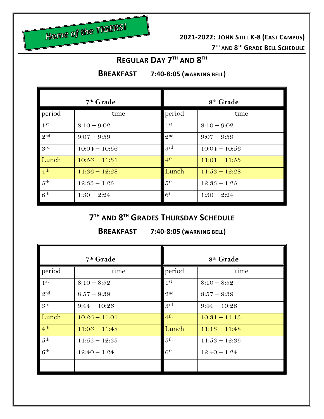

**2021-2022: JOHN STILL K-8 (EAST CAMPUS)**

**TH AND 8 TH GRADE BELL SCHEDULE**

### **REGULAR DAY 7 TH AND 8 TH**

**BREAKFAST 7:40-8:05 (WARNING BELL)**

|                 | $7th$ Grade     | 8 <sup>th</sup> Grade |                 |  |
|-----------------|-----------------|-----------------------|-----------------|--|
| period          | time            | period                | time            |  |
| 1 <sup>st</sup> | $8:10 - 9:02$   | 1 <sup>st</sup>       | $8:10 - 9:02$   |  |
| $Q$ nd          | $9:07 - 9:59$   | $Q$ nd                | $9:07 - 9:59$   |  |
| .9rd            | $10:04 - 10:56$ | .9rd                  | $10:04 - 10:56$ |  |
| Lunch           | $10:56 - 11:31$ | 4 <sup>th</sup>       | $11:01 - 11:53$ |  |
| 4 <sup>th</sup> | $11:36 - 12:28$ | Lunch                 | $11:53 - 12:28$ |  |
| 5 <sup>th</sup> | $12:33 - 1:25$  | 5 <sup>th</sup>       | $12:33 - 1:25$  |  |
| 6 <sup>th</sup> | $1:30 - 2:24$   | 6 <sup>th</sup>       | $1:30 - 2:24$   |  |

## **7 TH AND 8 TH GRADES THURSDAY SCHEDULE**

**BREAKFAST 7:40-8:05 (WARNING BELL)**

|                 | 7 <sup>th</sup> Grade | 8 <sup>th</sup> Grade |                 |  |
|-----------------|-----------------------|-----------------------|-----------------|--|
| period          | time                  | period                | time            |  |
| $\parallel$ 1st | $8:10 - 8:52$         | 1 <sup>st</sup>       | $8:10 - 8:52$   |  |
| 2 <sup>nd</sup> | $8:57 - 9:39$         | 2 <sup>nd</sup>       | $8:57 - 9:39$   |  |
| grd             | $9:44 - 10:26$        | 9rd                   | $9:44 - 10:26$  |  |
| Lunch           | $10:26 - 11:01$       | 4 <sup>th</sup>       | $10:31 - 11:13$ |  |
| 4 <sup>th</sup> | $11:06 - 11:48$       | Lunch                 | $11:13 - 11:48$ |  |
| 5 <sup>th</sup> | $11:53 - 12:35$       | 5 <sup>th</sup>       | $11:53 - 12:35$ |  |
| 6 <sup>th</sup> | $12:40 - 1:24$        | 6 <sup>th</sup>       | $12:40 - 1:24$  |  |
|                 |                       |                       |                 |  |